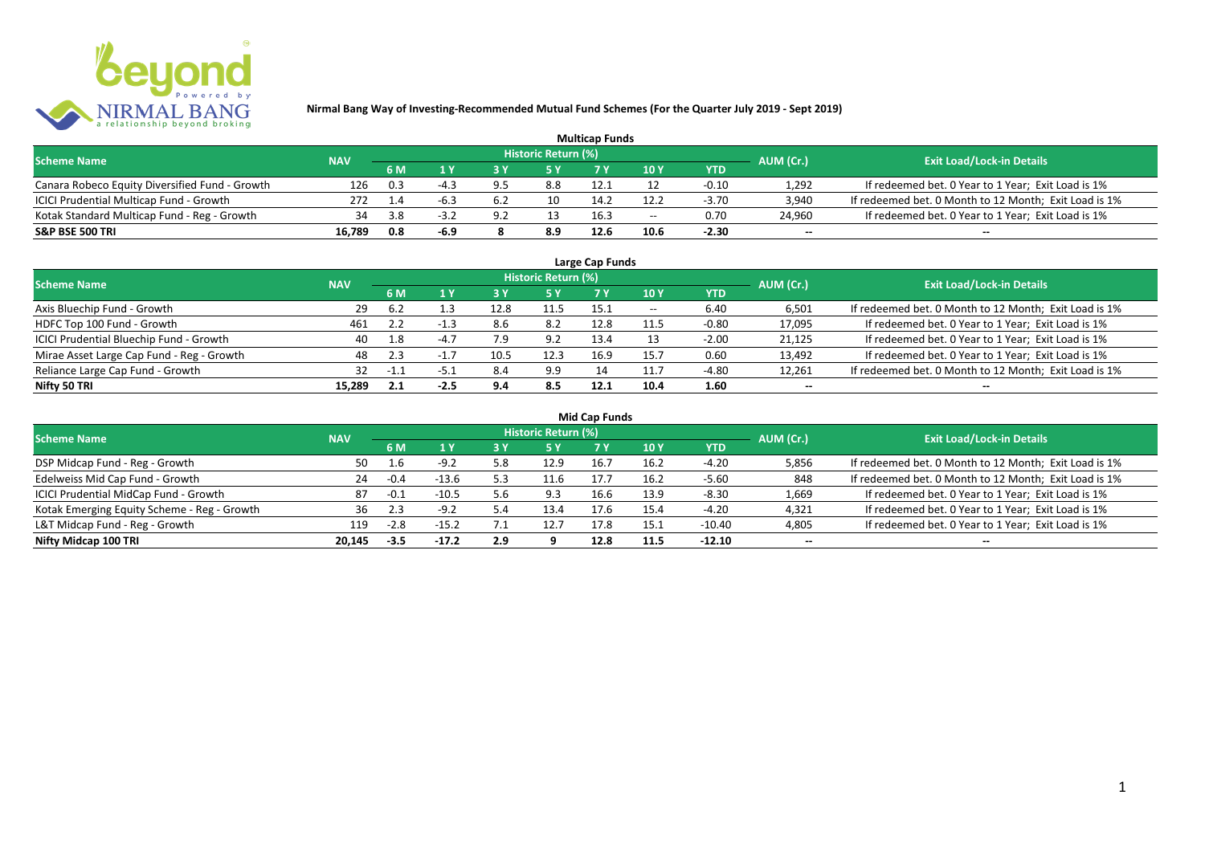

| <b>Multicap Funds</b>                          |            |     |        |     |                            |      |                          |         |                          |                                                       |  |  |  |  |
|------------------------------------------------|------------|-----|--------|-----|----------------------------|------|--------------------------|---------|--------------------------|-------------------------------------------------------|--|--|--|--|
| <b>Scheme Name</b>                             | <b>NAV</b> |     |        |     | <b>Historic Return (%)</b> |      |                          |         | AUM (Cr.)                | <b>Exit Load/Lock-in Details</b>                      |  |  |  |  |
|                                                |            | 6 M |        |     |                            |      | 10Y                      | YTD     |                          |                                                       |  |  |  |  |
| Canara Robeco Equity Diversified Fund - Growth | 126        | 0.3 | -4.3   |     | 8.8                        | 12.1 |                          | $-0.10$ | 1,292                    | If redeemed bet. 0 Year to 1 Year; Exit Load is 1%    |  |  |  |  |
| ICICI Prudential Multicap Fund - Growth        | 272        | 1.4 | -6.3   | 6.2 | 10                         | 14.2 | 12.2                     | $-3.70$ | 3,940                    | If redeemed bet. 0 Month to 12 Month; Exit Load is 1% |  |  |  |  |
| Kotak Standard Multicap Fund - Reg - Growth    | 34         | 3.8 | $-3.7$ | ∂ ه | 13                         | 16.3 | $\overline{\phantom{a}}$ | 0.70    | 24,960                   | If redeemed bet. 0 Year to 1 Year; Exit Load is 1%    |  |  |  |  |
| S&P BSE 500 TRI                                | 16.789     | 0.8 | -6.9   |     | 8.9                        | 12.6 | 10.6                     | $-2.30$ | $\overline{\phantom{a}}$ | $\overline{\phantom{a}}$                              |  |  |  |  |

| Large Cap Funds<br>Historic Return (%)    |            |        |        |      |      |      |       |            |                          |                                                       |  |  |  |  |
|-------------------------------------------|------------|--------|--------|------|------|------|-------|------------|--------------------------|-------------------------------------------------------|--|--|--|--|
| <b>Scheme Name</b>                        | <b>NAV</b> |        |        |      |      |      |       |            | AUM (Cr.)                | <b>Exit Load/Lock-in Details</b>                      |  |  |  |  |
|                                           |            | 6 M    | 1 Y    | ט כ  | 5 Y  |      | 10Y   | <b>YTD</b> |                          |                                                       |  |  |  |  |
| Axis Bluechip Fund - Growth               | 29         | -6.2   |        | 12.8 | 11.5 | 15.1 | $- -$ | 6.40       | 6,501                    | If redeemed bet. 0 Month to 12 Month; Exit Load is 1% |  |  |  |  |
| HDFC Top 100 Fund - Growth                | 461        |        | -1.1   | 8.6  | 8.2  | 12.8 | 11.5  | $-0.80$    | 17,095                   | If redeemed bet. 0 Year to 1 Year; Exit Load is 1%    |  |  |  |  |
| ICICI Prudential Bluechip Fund - Growth   | 40         | 1.8    | $-4.7$ | 7.9  | 9.2  | 13.4 |       | $-2.00$    | 21,125                   | If redeemed bet. 0 Year to 1 Year; Exit Load is 1%    |  |  |  |  |
| Mirae Asset Large Cap Fund - Reg - Growth | 48         | 2.3    |        | 10.5 | 12.3 | 16.9 | 15.7  | 0.60       | 13,492                   | If redeemed bet. 0 Year to 1 Year; Exit Load is 1%    |  |  |  |  |
| Reliance Large Cap Fund - Growth          |            | $-1.1$ | -5.1   | 8.4  | 9.9  | 14   | 11.7  | -4.80      | 12,261                   | If redeemed bet. 0 Month to 12 Month; Exit Load is 1% |  |  |  |  |
| Nifty 50 TRI                              | 15.289     | 2.1    | $-2.5$ | 9.4  | 8.5  | 12.1 | 10.4  | 1.60       | $\overline{\phantom{a}}$ | $\overline{\phantom{a}}$                              |  |  |  |  |

| <b>Mid Cap Funds</b>                        |            |           |         |     |                     |           |                 |            |                          |                                                       |  |  |  |  |
|---------------------------------------------|------------|-----------|---------|-----|---------------------|-----------|-----------------|------------|--------------------------|-------------------------------------------------------|--|--|--|--|
| <b>Scheme Name</b>                          | <b>NAV</b> |           |         |     | Historic Return (%) |           |                 |            | AUM (Cr.)                | <b>Exit Load/Lock-in Details</b>                      |  |  |  |  |
|                                             |            | <b>6M</b> |         | 3 Y | 5 Y                 | <b>7Y</b> | 10 <sub>Y</sub> | <b>YTD</b> |                          |                                                       |  |  |  |  |
| DSP Midcap Fund - Reg - Growth              | 50         | 1.6       | $-9.2$  | 5.8 | 12.9                |           | 16.2            | $-4.20$    | 5,856                    | If redeemed bet. 0 Month to 12 Month; Exit Load is 1% |  |  |  |  |
| Edelweiss Mid Cap Fund - Growth             | 24         | -0.4      | $-13.6$ | 5.3 | 11.6                | 17.7      | 16.2            | $-5.60$    | 848                      | If redeemed bet. 0 Month to 12 Month; Exit Load is 1% |  |  |  |  |
| ICICI Prudential MidCap Fund - Growth       | 87         | -0.1      | $-10.5$ | 5.6 | 9.3                 | 16.6      | 13.9            | $-8.30$    | 1,669                    | If redeemed bet. 0 Year to 1 Year; Exit Load is 1%    |  |  |  |  |
| Kotak Emerging Equity Scheme - Reg - Growth | 36         | 2.3       | $-9.2$  | 5.4 | 13.4                | 17.6      | 15.4            | $-4.20$    | 4,321                    | If redeemed bet. 0 Year to 1 Year; Exit Load is 1%    |  |  |  |  |
| L&T Midcap Fund - Reg - Growth              | 119        | $-2.8$    | $-15.2$ | 7.1 | 12.7                | 17.8      | 15.1            | $-10.40$   | 4,805                    | If redeemed bet. 0 Year to 1 Year; Exit Load is 1%    |  |  |  |  |
| Nifty Midcap 100 TRI                        | 20.145     | -3.5      | -17.2   | 2.9 |                     | 12.8      | 11.5            | $-12.10$   | $\overline{\phantom{a}}$ | $- -$                                                 |  |  |  |  |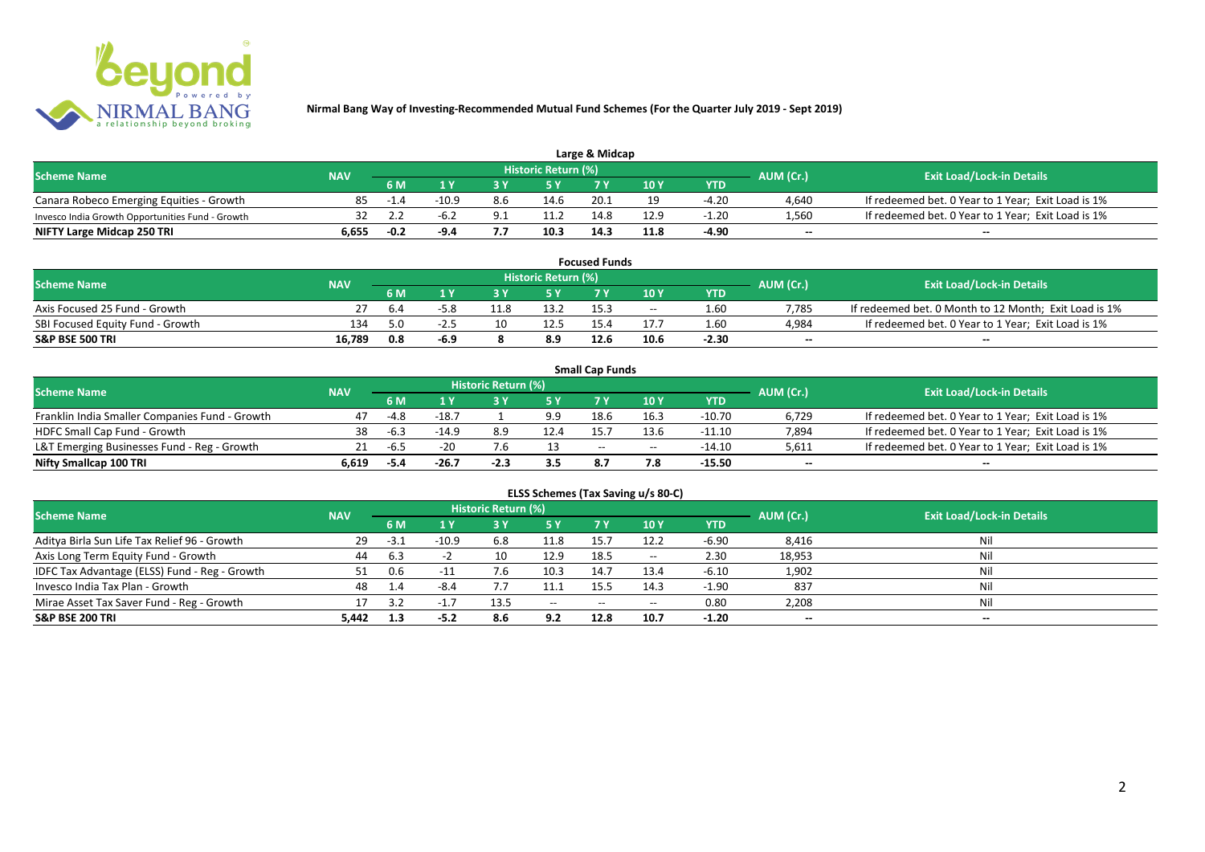

| Large & Midcap                                   |            |        |         |     |                     |      |      |         |           |                                                    |  |  |  |  |
|--------------------------------------------------|------------|--------|---------|-----|---------------------|------|------|---------|-----------|----------------------------------------------------|--|--|--|--|
| <b>Scheme Name</b>                               | <b>NAV</b> |        |         |     | Historic Return (%) |      |      |         | AUM (Cr.) | <b>Exit Load/Lock-in Details</b>                   |  |  |  |  |
|                                                  |            | 6 M    |         |     |                     |      | 10Y  | YTD     |           |                                                    |  |  |  |  |
| Canara Robeco Emerging Equities - Growth         | 85         | $-1.4$ | $-10.9$ | 8.6 | 14.6                | 20.1 | 10   | $-4.20$ | 4,640     | If redeemed bet. 0 Year to 1 Year; Exit Load is 1% |  |  |  |  |
| Invesco India Growth Opportunities Fund - Growth |            |        | -6.2    |     | 11.2                |      | 12.9 | $-1.20$ | 1,560     | If redeemed bet. 0 Year to 1 Year; Exit Load is 1% |  |  |  |  |
| NIFTY Large Midcap 250 TRI                       | 6.655      | $-0.2$ | -9.4    |     | 10.3                | 14.3 | 11.8 | -4.90   | $-$       | $- -$                                              |  |  |  |  |

| <b>Focused Funds</b>             |            |           |      |    |                     |      |       |            |                          |                                                       |  |  |  |  |
|----------------------------------|------------|-----------|------|----|---------------------|------|-------|------------|--------------------------|-------------------------------------------------------|--|--|--|--|
| <b>Scheme Name</b>               | <b>NAV</b> |           |      |    | Historic Return (%) |      |       |            | AUM (Cr.)                | <b>Exit Load/Lock-in Details</b>                      |  |  |  |  |
|                                  |            | <b>6M</b> |      |    | <b>EV</b>           |      | 10 Y  | <b>YTD</b> |                          |                                                       |  |  |  |  |
| Axis Focused 25 Fund - Growth    |            | 6.4       |      |    | 13.2                |      | $- -$ | 1.60       | 7.785                    | If redeemed bet. 0 Month to 12 Month; Exit Load is 1% |  |  |  |  |
| SBI Focused Equity Fund - Growth | 134        | 5.0       | -4.5 | 10 | 12.5                |      |       | 1.60       | 4.984                    | If redeemed bet. 0 Year to 1 Year; Exit Load is 1%    |  |  |  |  |
| S&P BSE 500 TRI                  | 16.789     | 0.8       | -6.9 |    | 8.9                 | 12.6 | 10.6  | $-2.30$    | $\overline{\phantom{a}}$ | $- -$                                                 |  |  |  |  |

|                                                |            |        |         |                     |      | <b>Small Cap Funds</b> |                                       |          |                          |                                                    |
|------------------------------------------------|------------|--------|---------|---------------------|------|------------------------|---------------------------------------|----------|--------------------------|----------------------------------------------------|
| <b>Scheme Name</b>                             | <b>NAV</b> |        |         | Historic Return (%) |      |                        |                                       |          | AUM (Cr.)                | <b>Exit Load/Lock-in Details</b>                   |
|                                                |            | 6 M    |         |                     |      |                        | 10 Y                                  | YTD      |                          |                                                    |
| Franklin India Smaller Companies Fund - Growth | 47         | $-4.8$ | $-18.7$ |                     | 9.9  | 18.6                   | 16.3                                  | $-10.70$ | 6,729                    | If redeemed bet. 0 Year to 1 Year; Exit Load is 1% |
| HDFC Small Cap Fund - Growth                   | 38         | $-6.3$ | $-14.9$ | 8.9                 | 12.4 | 15.7                   | 13.6                                  | $-11.10$ | 7,894                    | If redeemed bet. 0 Year to 1 Year; Exit Load is 1% |
| L&T Emerging Businesses Fund - Reg - Growth    | 21         | $-6.5$ | $-20$   |                     |      | $-$                    | $\hspace{0.05cm}$ – $\hspace{0.05cm}$ | $-14.10$ | 5,611                    | If redeemed bet. 0 Year to 1 Year; Exit Load is 1% |
| Nifty Smallcap 100 TRI                         | 6.619      | -5.4   | $-26.7$ | $-2.3$              | 3.5  | 8.7                    |                                       | -15.50   | $\overline{\phantom{a}}$ | $-$                                                |

| ELSS Schemes (Tax Saving u/s 80-C)            |            |        |          |                            |                          |           |       |            |                          |                                  |  |  |  |  |
|-----------------------------------------------|------------|--------|----------|----------------------------|--------------------------|-----------|-------|------------|--------------------------|----------------------------------|--|--|--|--|
| <b>Scheme Name</b>                            | <b>NAV</b> |        |          | <b>Historic Return (%)</b> |                          |           |       |            | AUM (Cr.)                | <b>Exit Load/Lock-in Details</b> |  |  |  |  |
|                                               |            | 6 M    | 1 Y      | 3 Y                        | <b>5Y</b>                | <b>7Y</b> | 10 Y  | <b>YTD</b> |                          |                                  |  |  |  |  |
| Aditya Birla Sun Life Tax Relief 96 - Growth  | -29        | $-3.1$ | $-10.9$  | 6.8                        | 11.8                     | 15.7      | 12.2  | $-6.90$    | 8,416                    | Nil                              |  |  |  |  |
| Axis Long Term Equity Fund - Growth           | 44         | 6.3    |          |                            | 12.9                     | 18.5      | $- -$ | 2.30       | 18,953                   | Nil                              |  |  |  |  |
| IDFC Tax Advantage (ELSS) Fund - Reg - Growth |            | 0.6    | $-11$    | 7.6                        | 10.3                     | 14.7      | 13.4  | $-6.10$    | 1,902                    | Nil                              |  |  |  |  |
| Invesco India Tax Plan - Growth               | 48         | 1.4    | $-8.4$   |                            |                          | 15.5      | 14.3  | $-1.90$    | 837                      | Nil                              |  |  |  |  |
| Mirae Asset Tax Saver Fund - Reg - Growth     |            | 3.2    | $-1$ $-$ | 13.5                       | $\hspace{0.05cm} \ldots$ | $- -$     | $- -$ | 0.80       | 2,208                    | Nil                              |  |  |  |  |
| S&P BSE 200 TRI                               | 5.442      | 1.3    | $-5.2$   | 8.6                        | 9.2                      | 12.8      | 10.7  | $-1.20$    | $\overline{\phantom{a}}$ | $- -$                            |  |  |  |  |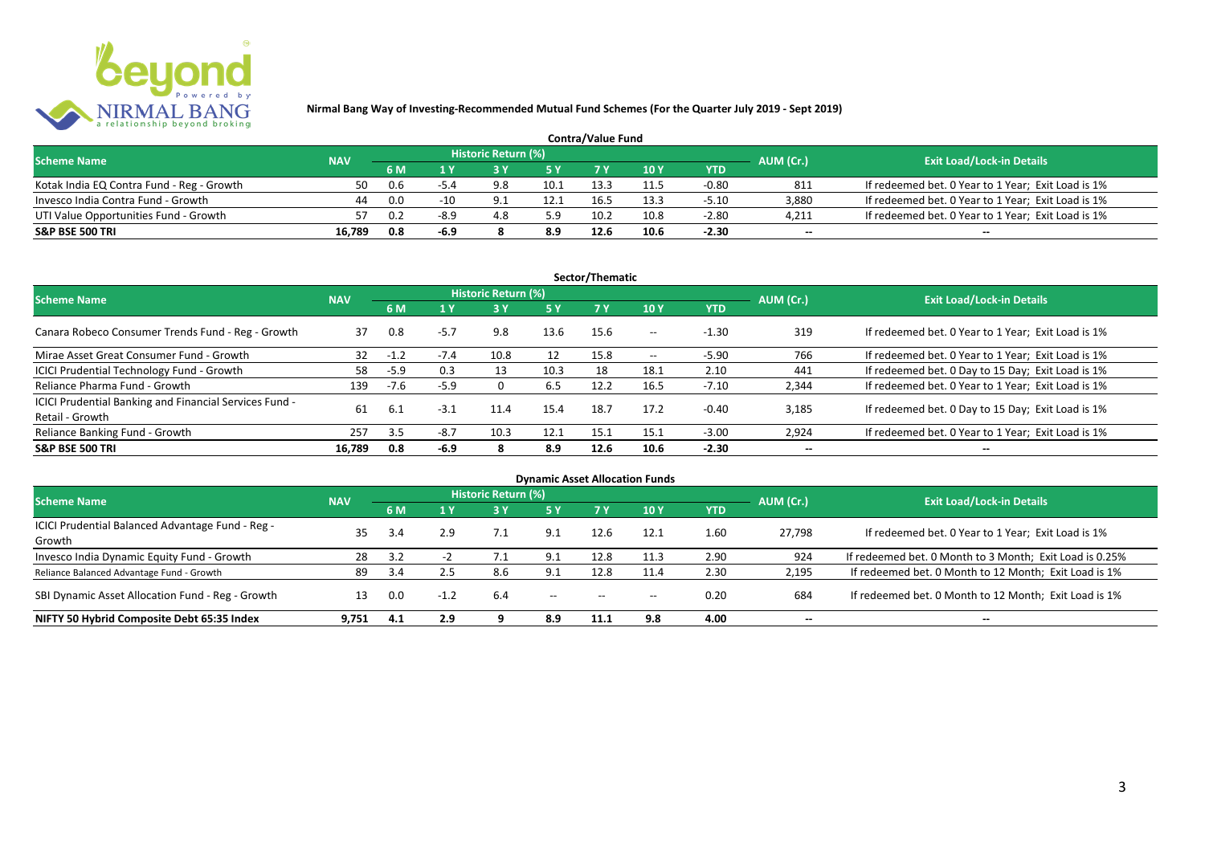

| <b>Contra/Value Fund</b>                  |            |           |                                  |     |      |      |      |         |                          |                                                    |  |  |  |  |
|-------------------------------------------|------------|-----------|----------------------------------|-----|------|------|------|---------|--------------------------|----------------------------------------------------|--|--|--|--|
| <b>Scheme Name</b>                        | <b>NAV</b> | AUM (Cr.) | <b>Exit Load/Lock-in Details</b> |     |      |      |      |         |                          |                                                    |  |  |  |  |
|                                           |            | 6 M       |                                  |     |      |      | 10 Y | YTD     |                          |                                                    |  |  |  |  |
| Kotak India EQ Contra Fund - Reg - Growth | 50         | 0.6       | -54                              |     | 10.1 | 13.3 |      | $-0.80$ | 811                      | If redeemed bet. 0 Year to 1 Year; Exit Load is 1% |  |  |  |  |
| Invesco India Contra Fund - Growth        | 44         | 0.0       | $-10$                            |     | 12.1 | 16.5 | 13.3 | $-5.10$ | 3.880                    | If redeemed bet. 0 Year to 1 Year; Exit Load is 1% |  |  |  |  |
| UTI Value Opportunities Fund - Growth     |            | 0.2       | $-8.9$                           | 4.8 | 5.9  | 10.2 | 10.8 | $-2.80$ | 4,211                    | If redeemed bet. 0 Year to 1 Year; Exit Load is 1% |  |  |  |  |
| S&P BSE 500 TRI                           | 16.789     | 0.8       | -6.9                             |     | 8.9  | 12.6 | 10.6 | $-2.30$ | $\overline{\phantom{a}}$ | $\overline{\phantom{a}}$                           |  |  |  |  |

| Sector/Thematic                                                           |            |        |        |                     |           |           |                   |            |                          |                                                    |  |  |  |
|---------------------------------------------------------------------------|------------|--------|--------|---------------------|-----------|-----------|-------------------|------------|--------------------------|----------------------------------------------------|--|--|--|
| <b>Scheme Name</b>                                                        | <b>NAV</b> |        |        | Historic Return (%) |           |           |                   |            | AUM (Cr.)                | <b>Exit Load/Lock-in Details</b>                   |  |  |  |
|                                                                           |            | 6 M    | 1 Y    |                     | <b>5Y</b> | <b>7Y</b> | 10Y               | <b>YTD</b> |                          |                                                    |  |  |  |
| Canara Robeco Consumer Trends Fund - Reg - Growth                         | 37         | 0.8    | $-5.7$ | 9.8                 | 13.6      | 15.6      | $- -$             | $-1.30$    | 319                      | If redeemed bet. 0 Year to 1 Year; Exit Load is 1% |  |  |  |
| Mirae Asset Great Consumer Fund - Growth                                  | 32         | $-1.2$ | $-7.4$ | 10.8                | 12        | 15.8      | $\hspace{0.05cm}$ | $-5.90$    | 766                      | If redeemed bet. 0 Year to 1 Year; Exit Load is 1% |  |  |  |
| ICICI Prudential Technology Fund - Growth                                 | 58         | $-5.9$ | 0.3    | 13                  | 10.3      | 18        | 18.1              | 2.10       | 441                      | If redeemed bet. 0 Day to 15 Day; Exit Load is 1%  |  |  |  |
| Reliance Pharma Fund - Growth                                             | 139        | $-7.6$ | $-5.9$ |                     | 6.5       | 12.2      | 16.5              | $-7.10$    | 2,344                    | If redeemed bet. 0 Year to 1 Year; Exit Load is 1% |  |  |  |
| ICICI Prudential Banking and Financial Services Fund -<br>Retail - Growth | 61         | 6.1    | $-3.1$ | 11.4                | 15.4      | 18.7      | 17.2              | $-0.40$    | 3.185                    | If redeemed bet. 0 Day to 15 Day; Exit Load is 1%  |  |  |  |
| Reliance Banking Fund - Growth                                            | 257        | 3.5    | $-8.7$ | 10.3                | 12.1      | 15.1      | 15.1              | $-3.00$    | 2,924                    | If redeemed bet. 0 Year to 1 Year; Exit Load is 1% |  |  |  |
| <b>S&amp;P BSE 500 TRI</b>                                                | 16,789     | 0.8    | $-6.9$ | 8                   | 8.9       | 12.6      | 10.6              | $-2.30$    | $\overline{\phantom{a}}$ | $- -$                                              |  |  |  |

| <b>Dynamic Asset Allocation Funds</b>                      |            |     |        |                            |                                       |                          |       |            |                          |                                                         |  |  |  |  |
|------------------------------------------------------------|------------|-----|--------|----------------------------|---------------------------------------|--------------------------|-------|------------|--------------------------|---------------------------------------------------------|--|--|--|--|
| <b>Scheme Name</b>                                         | <b>NAV</b> |     |        | <b>Historic Return (%)</b> |                                       |                          |       |            | AUM (Cr.)                | <b>Exit Load/Lock-in Details</b>                        |  |  |  |  |
|                                                            |            | 6 M | 1 Y    | 3 Y                        | 5 Y                                   |                          | 10Y   | <b>YTD</b> |                          |                                                         |  |  |  |  |
| ICICI Prudential Balanced Advantage Fund - Reg -<br>Growth | 35         |     | 2.9    |                            | 9.1                                   | 12.6                     | 12.1  | 1.60       | 27.798                   | If redeemed bet. 0 Year to 1 Year; Exit Load is 1%      |  |  |  |  |
| Invesco India Dynamic Equity Fund - Growth                 | 28         | 3.2 |        |                            | 9.1                                   | 12.8                     |       | 2.90       | 924                      | If redeemed bet. 0 Month to 3 Month; Exit Load is 0.25% |  |  |  |  |
| Reliance Balanced Advantage Fund - Growth                  | 89         | 3.4 | 2.5    | 8.6                        | 9.1                                   | 12.8                     | 11.4  | 2.30       | 2,195                    | If redeemed bet. 0 Month to 12 Month; Exit Load is 1%   |  |  |  |  |
| SBI Dynamic Asset Allocation Fund - Reg - Growth           |            | 0.0 | $-1.2$ | 6.4                        | $\hspace{0.05cm}$ – $\hspace{0.05cm}$ | $\hspace{0.05cm} \ldots$ | $- -$ | 0.20       | 684                      | If redeemed bet. 0 Month to 12 Month; Exit Load is 1%   |  |  |  |  |
| NIFTY 50 Hybrid Composite Debt 65:35 Index                 | 9,751      | 4.1 | 2.9    |                            | 8.9                                   | 11.1                     | 9.8   | 4.00       | $\overline{\phantom{a}}$ | $- -$                                                   |  |  |  |  |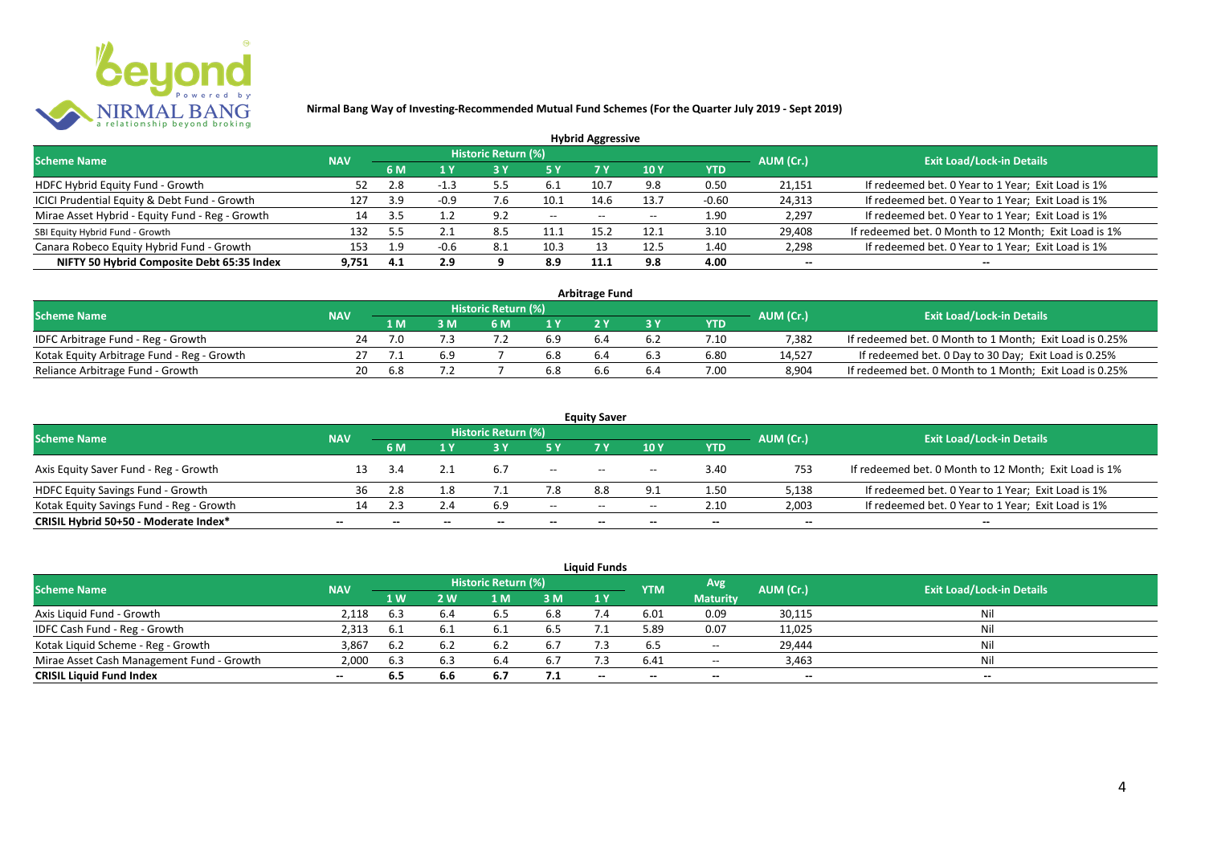

|                                                 |            |     |        |                            |           | <b>Hybrid Aggressive</b> |            |            |                          |                                                       |
|-------------------------------------------------|------------|-----|--------|----------------------------|-----------|--------------------------|------------|------------|--------------------------|-------------------------------------------------------|
| <b>Scheme Name</b>                              | <b>NAV</b> |     |        | <b>Historic Return (%)</b> |           |                          |            |            | AUM (Cr.)                | <b>Exit Load/Lock-in Details</b>                      |
|                                                 |            | 6 M | 1 Y    |                            | <b>5Y</b> | 7 Y                      | <b>10Y</b> | <b>YTD</b> |                          |                                                       |
| HDFC Hybrid Equity Fund - Growth                |            | 2.8 | $-1.3$ | 5.5                        | 6.1       | 10.7                     | 9.8        | 0.50       | 21,151                   | If redeemed bet. 0 Year to 1 Year; Exit Load is 1%    |
| ICICI Prudential Equity & Debt Fund - Growth    | 127        | 3.9 | -0.9   | .6                         | 10.1      | 14.6                     | 13.7       | $-0.60$    | 24,313                   | If redeemed bet. 0 Year to 1 Year; Exit Load is 1%    |
| Mirae Asset Hybrid - Equity Fund - Reg - Growth | 14         |     |        | 9.2                        | $--$      | $- -$                    |            | 1.90       | 2,297                    | If redeemed bet. 0 Year to 1 Year; Exit Load is 1%    |
| SBI Equity Hybrid Fund - Growth                 | 132        | 5.5 |        | 8.5                        | 11.1      | 15.4                     | 12.1       | 3.10       | 29,408                   | If redeemed bet. 0 Month to 12 Month; Exit Load is 1% |
| Canara Robeco Equity Hybrid Fund - Growth       | 153        | 1.9 | $-0.6$ | 8.1                        | 10.3      |                          | 12.5       | 1.40       | 2,298                    | If redeemed bet. 0 Year to 1 Year; Exit Load is 1%    |
| NIFTY 50 Hybrid Composite Debt 65:35 Index      | 9.751      | 4.1 | 2.9    |                            | 8.9       | 11.                      | 9.8        | 4.00       | $\overline{\phantom{a}}$ | $\overline{\phantom{a}}$                              |

| <b>Arbitrage Fund</b>                      |            |     |     |                     |     |     |     |            |           |                                                         |  |  |  |
|--------------------------------------------|------------|-----|-----|---------------------|-----|-----|-----|------------|-----------|---------------------------------------------------------|--|--|--|
| <b>Scheme Name</b>                         | <b>NAV</b> |     |     | Historic Return (%) |     |     |     |            | AUM (Cr.) | <b>Exit Load/Lock-in Details</b>                        |  |  |  |
|                                            |            | 1 M |     | 6 M                 |     |     |     | <b>YTD</b> |           |                                                         |  |  |  |
| IDFC Arbitrage Fund - Reg - Growth         | 24         |     |     |                     | 6.9 |     | 6.2 | 7.10       | 7.382     | If redeemed bet. 0 Month to 1 Month; Exit Load is 0.25% |  |  |  |
| Kotak Equity Arbitrage Fund - Reg - Growth |            |     | 6.9 |                     | 6.8 | 6.4 | 6.3 | 6.80       | 14.527    | If redeemed bet. 0 Day to 30 Day; Exit Load is 0.25%    |  |  |  |
| Reliance Arbitrage Fund - Growth           | 20         | 6.8 |     |                     | 6.8 |     | b.4 | 7.00       | 8.904     | If redeemed bet. 0 Month to 1 Month; Exit Load is 0.25% |  |  |  |

|                                          |                          |              |                          |                     |        | <b>Equity Saver</b> |                                       |                          |                          |                                                       |
|------------------------------------------|--------------------------|--------------|--------------------------|---------------------|--------|---------------------|---------------------------------------|--------------------------|--------------------------|-------------------------------------------------------|
| <b>Scheme Name</b>                       | <b>NAV</b>               |              |                          | Historic Return (%) |        |                     |                                       |                          | AUM (Cr.)                | <b>Exit Load/Lock-in Details</b>                      |
|                                          |                          | 6 M          |                          |                     |        |                     | 10 Y                                  | <b>YTD</b>               |                          |                                                       |
| Axis Equity Saver Fund - Reg - Growth    |                          |              |                          |                     | $- -$  | $- -$               | $\overline{\phantom{a}}$              | 3.40                     | 753                      | If redeemed bet. 0 Month to 12 Month; Exit Load is 1% |
| HDFC Equity Savings Fund - Growth        | 36                       | 2.8          | ∣.8                      |                     | 7.8    | 8.8                 |                                       | 1.50                     | 5,138                    | If redeemed bet. 0 Year to 1 Year; Exit Load is 1%    |
| Kotak Equity Savings Fund - Reg - Growth |                          | 2.3          | 2.4                      | 6.9                 | $- -$  | $- -$               | $\hspace{0.05cm}$ – $\hspace{0.05cm}$ | 2.10                     | 2,003                    | If redeemed bet. 0 Year to 1 Year; Exit Load is 1%    |
| CRISIL Hybrid 50+50 - Moderate Index*    | $\overline{\phantom{a}}$ | $\mathbf{m}$ | $\overline{\phantom{a}}$ | $- -$               | $\sim$ | $- -$               | $\overline{\phantom{a}}$              | $\overline{\phantom{a}}$ | $\overline{\phantom{a}}$ | $- -$                                                 |

|                                           |            |      |      |                     |     | <b>Liquid Funds</b> |            |                 |           |                                  |
|-------------------------------------------|------------|------|------|---------------------|-----|---------------------|------------|-----------------|-----------|----------------------------------|
| <b>Scheme Name</b>                        | <b>NAV</b> |      |      | Historic Return (%) |     |                     | <b>YTM</b> | Avg             | AUM (Cr.) | <b>Exit Load/Lock-in Details</b> |
|                                           |            | 1 W. | 2 W  | 1 M                 | 3 M | 1Y                  |            | <b>Maturity</b> |           |                                  |
| Axis Liquid Fund - Growth                 | 2,118      | 6.3  | 6.4  |                     | 6.8 |                     | 6.01       | 0.09            | 30,115    | Nil                              |
| IDFC Cash Fund - Reg - Growth             | 2,313      | -6.1 | -6.1 |                     | 6.5 |                     | 5.89       | 0.07            | 11,025    | Nil                              |
| Kotak Liquid Scheme - Reg - Growth        | 3,867      | 6.2  |      |                     | 6.7 |                     | 6.5        | $-$             | 29,444    | Nil                              |
| Mirae Asset Cash Management Fund - Growth | 2,000      | 6.3  | 6.3  |                     | 6.7 |                     | 6.41       | $ -$            | 3,463     | Nil                              |
| <b>CRISIL Liquid Fund Index</b>           | $\sim$     | 6.5  | 6.6  | 6.7                 | 7.1 | $- -$               | $- -$      | $- -$           | --        | $- -$                            |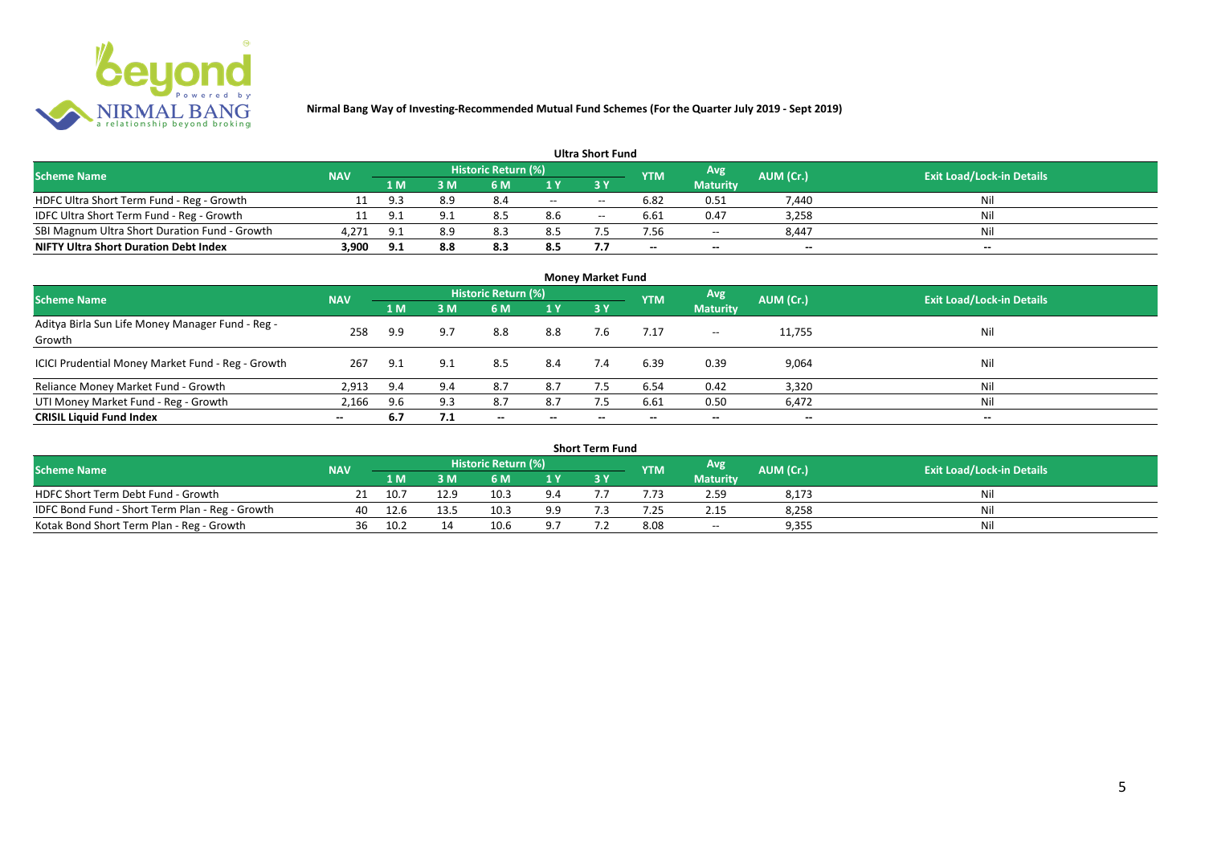

| <b>Ultra Short Fund</b>                       |            |        |      |                            |                          |       |                          |                          |           |                                  |
|-----------------------------------------------|------------|--------|------|----------------------------|--------------------------|-------|--------------------------|--------------------------|-----------|----------------------------------|
| <b>Scheme Name</b>                            | <b>NAV</b> |        |      | <b>Historic Return (%)</b> |                          |       | <b>YTM</b>               | Avg                      | AUM (Cr.) | <b>Exit Load/Lock-in Details</b> |
|                                               |            | '1 M . | 3 M' | 6 M                        |                          |       |                          | <b>Maturity</b>          |           |                                  |
| HDFC Ultra Short Term Fund - Reg - Growth     |            | 9.3    | 8.9  | 8.4                        | $\overline{\phantom{a}}$ | $- -$ | 6.82                     | 0.51                     | 7,440     | Nil                              |
| IDFC Ultra Short Term Fund - Reg - Growth     |            | 9.1    | ۹1   | 8.5                        | 8.6                      | $- -$ | 6.61                     | 0.47                     | 3,258     | Nil                              |
| SBI Magnum Ultra Short Duration Fund - Growth | 4,271      | 9.1    | 8.9  |                            | 8.5                      |       | 7.56                     | $\overline{\phantom{a}}$ | 8,447     | Nil                              |
| <b>NIFTY Ultra Short Duration Debt Index</b>  | 3,900      | 9.1    | 8.8  | 8.3                        | 8.5                      | 7.7   | $\overline{\phantom{a}}$ | $\overline{\phantom{a}}$ | $\sim$    | $\sim$                           |

| <b>Money Market Fund</b>                                   |            |     |     |                            |                          |           |            |                 |                          |                                  |
|------------------------------------------------------------|------------|-----|-----|----------------------------|--------------------------|-----------|------------|-----------------|--------------------------|----------------------------------|
| <b>Scheme Name</b>                                         | <b>NAV</b> |     |     | <b>Historic Return (%)</b> |                          |           | <b>YTM</b> | Avg             | AUM (Cr.)                | <b>Exit Load/Lock-in Details</b> |
|                                                            |            | 1 M | 3M  | 6 M                        | 1 Y                      | <b>3Y</b> |            | <b>Maturity</b> |                          |                                  |
| Aditya Birla Sun Life Money Manager Fund - Reg -<br>Growth | 258        | 9.9 | 9.7 | 8.8                        | 8.8                      | 7.6       | 7.17       | $--$            | 11,755                   | Nil                              |
| ICICI Prudential Money Market Fund - Reg - Growth          | 267        | 9.1 | 9.1 | 8.5                        | 8.4                      | 7.4       | 6.39       | 0.39            | 9,064                    | Nil                              |
| Reliance Money Market Fund - Growth                        | 2,913      | 9.4 | 9.4 | 8.7                        | 8.7                      |           | 6.54       | 0.42            | 3,320                    | Nil                              |
| UTI Money Market Fund - Reg - Growth                       | 2,166      | 9.6 | 9.3 | 8.7                        | 8.7                      | 7.5       | 6.61       | 0.50            | 6,472                    | Nil                              |
| <b>CRISIL Liquid Fund Index</b>                            | $- -$      | 6.7 | 7.1 | $\overline{\phantom{a}}$   | $\overline{\phantom{a}}$ | $\!-$     | $\!-$      | $\sim$          | $\overline{\phantom{a}}$ | $\overline{\phantom{a}}$         |

| Short Term Fund                                 |            |      |      |                     |     |  |            |                 |           |                                  |
|-------------------------------------------------|------------|------|------|---------------------|-----|--|------------|-----------------|-----------|----------------------------------|
| <b>Scheme Name</b>                              | <b>NAV</b> |      |      | Historic Return (%) |     |  | <b>YTM</b> | Avg             | AUM (Cr.) | <b>Exit Load/Lock-in Details</b> |
|                                                 |            | 1 M  |      | 6 M                 | 1 V |  |            | <b>Maturity</b> |           |                                  |
| HDFC Short Term Debt Fund - Growth              |            | 10.7 | 12.9 | 10.3                | 9.4 |  |            | 2.59            | 8,173     | Nil                              |
| IDFC Bond Fund - Short Term Plan - Reg - Growth | 40         | 12.6 | 13.5 | 10.3                | 9.9 |  | .25        | 2.15            | 8,258     | Nil                              |
| Kotak Bond Short Term Plan - Reg - Growth       | 36         | 10.2 |      | 10.6                |     |  | 8.08       | $-$             | 9,355     | Nil                              |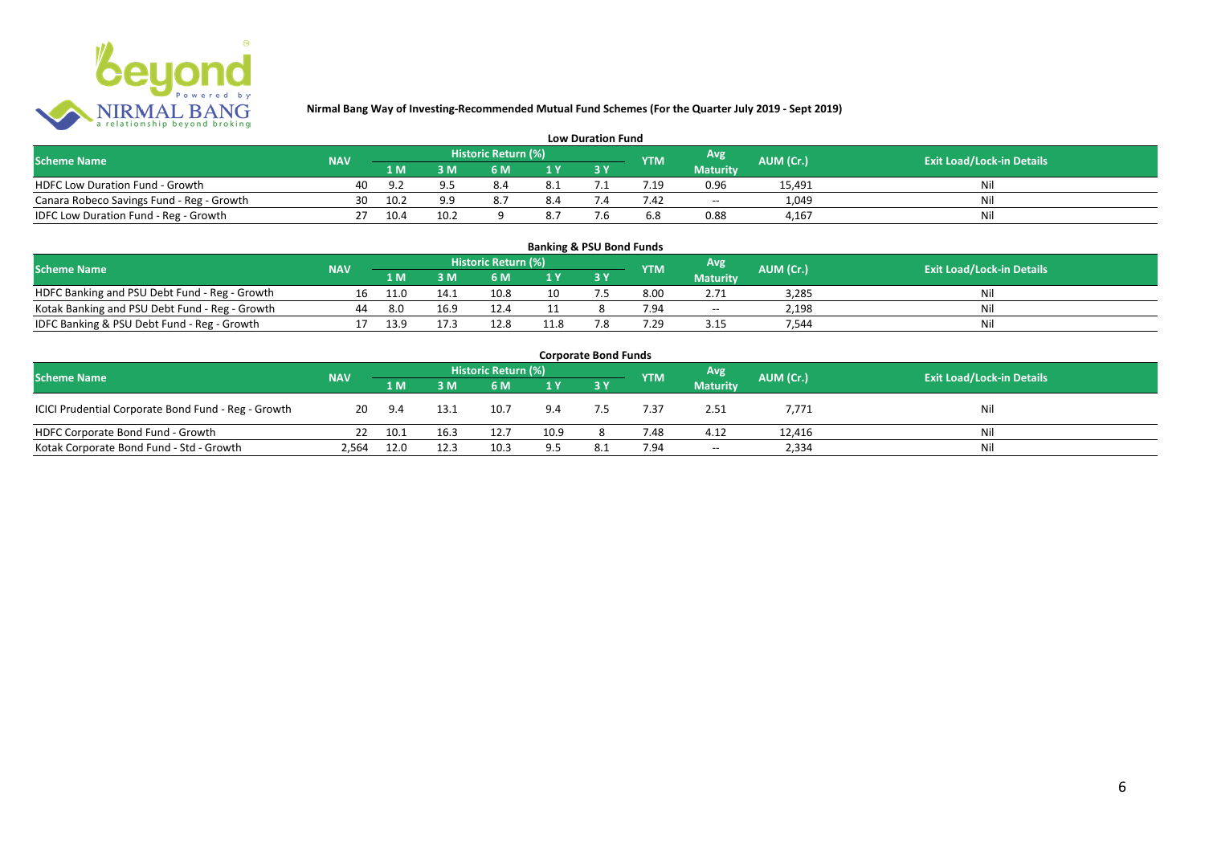

| <b>Low Duration Fund</b>                  |            |      |      |                     |     |  |            |                 |           |                                  |
|-------------------------------------------|------------|------|------|---------------------|-----|--|------------|-----------------|-----------|----------------------------------|
| <b>Scheme Name</b>                        | <b>NAV</b> |      |      | Historic Return (%) |     |  | <b>YTM</b> | Avg             | AUM (Cr.) | <b>Exit Load/Lock-in Details</b> |
|                                           |            | 1 M  |      | 6 M                 |     |  |            | <b>Maturity</b> |           |                                  |
| <b>HDFC Low Duration Fund - Growth</b>    | 40         |      | 95   | 8.4                 | 8.1 |  |            | 0.96            | 15,491    | Nli                              |
| Canara Robeco Savings Fund - Reg - Growth | 30         | 10.2 | ٩q   |                     | 8.4 |  | 7.42       | $- -$           | 1,049     | Ni                               |
| IDFC Low Duration Fund - Reg - Growth     |            | 10.4 | 10.2 |                     | 8.7 |  | 6.8        | 0.88            | 4.167     |                                  |

| <b>Banking &amp; PSU Bond Funds</b>            |            |      |      |                     |                |    |                 |                 |           |                                  |
|------------------------------------------------|------------|------|------|---------------------|----------------|----|-----------------|-----------------|-----------|----------------------------------|
| <b>Scheme Name</b>                             | <b>NAV</b> |      |      | Historic Return (%) |                |    | <b>YTM</b>      | Avg             | AUM (Cr.) | <b>Exit Load/Lock-in Details</b> |
|                                                |            | 1 M  | R M' | 6 M                 | 1 <sup>Y</sup> |    |                 | <b>Maturity</b> |           |                                  |
| HDFC Banking and PSU Debt Fund - Reg - Growth  |            | 11.0 | 14.1 | 10.8                | 10             |    | 8.00            | 2.71            | 3.285     | Nil                              |
| Kotak Banking and PSU Debt Fund - Reg - Growth | 44         | 8.0  | 16.9 | 12.4                |                |    | 7.94            | $- -$           | 2.198     | Nil                              |
| IDFC Banking & PSU Debt Fund - Reg - Growth    |            | 13.9 | 17.3 | 12.8                | 11.8           | ۰. | $^{\prime}$ .29 | 3.15            | 544.      | Nil                              |

| <b>Corporate Bond Funds</b>                         |            |        |      |      |      |     |            |                 |           |                                  |
|-----------------------------------------------------|------------|--------|------|------|------|-----|------------|-----------------|-----------|----------------------------------|
| <b>Scheme Name</b>                                  | <b>NAV</b> |        |      |      |      |     | <b>YTM</b> | <b>Avg</b>      | AUM (Cr.) | <b>Exit Load/Lock-in Details</b> |
|                                                     |            | /1 M / | 3 M  | 6 M  | 1Y   |     |            | <b>Maturity</b> |           |                                  |
| ICICI Prudential Corporate Bond Fund - Reg - Growth | 20         | 9.4    | 13.1 | 10.7 | 9.4  |     | 7.37       | 2.51            | 7,771     | Nil                              |
| HDFC Corporate Bond Fund - Growth                   |            | 10.1   | 16.3 | 12.7 | 10.9 |     | 7.48       | 4.12            | 12,416    | Ni                               |
| Kotak Corporate Bond Fund - Std - Growth            | 2,564      | 12.0   | 12.3 | 10.3 | 9.5  | 8.1 | 7.94       | $- -$           | 2,334     | Ni                               |